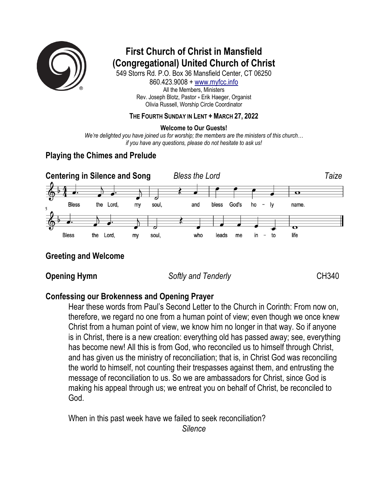

# **First Church of Christ in Mansfield (Congregational) United Church of Christ**

549 Storrs Rd. P.O. Box 36 Mansfield Center, CT 06250 860.423.9008 + www.myfcc.info All the Members, Ministers Rev. Joseph Blotz, Pastor + Erik Haeger, Organist Olivia Russell, Worship Circle Coordinator

### **THE FOURTH SUNDAY IN LENT + MARCH 27, 2022**

### **Welcome to Our Guests!**

*We're delighted you have joined us for worship; the members are the ministers of this church… if you have any questions, please do not hesitate to ask us!*

# **Playing the Chimes and Prelude**



# **Greeting and Welcome**

**Opening Hymn** *Softly and Tenderly* **CH340** 

# **Confessing our Brokenness and Opening Prayer**

Hear these words from Paul's Second Letter to the Church in Corinth: From now on, therefore, we regard no one from a human point of view; even though we once knew Christ from a human point of view, we know him no longer in that way. So if anyone is in Christ, there is a new creation: everything old has passed away; see, everything has become new! All this is from God, who reconciled us to himself through Christ, and has given us the ministry of reconciliation; that is, in Christ God was reconciling the world to himself, not counting their trespasses against them, and entrusting the message of reconciliation to us. So we are ambassadors for Christ, since God is making his appeal through us; we entreat you on behalf of Christ, be reconciled to God.

When in this past week have we failed to seek reconciliation? *Silence*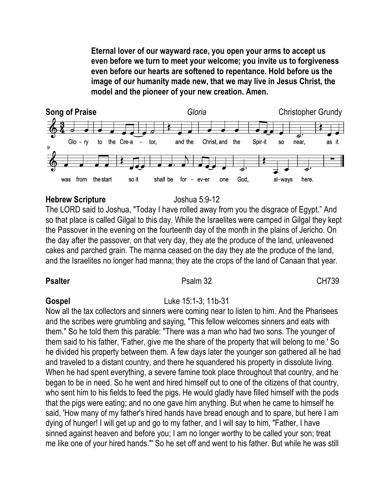**Eternal lover of our wayward race, you open your arms to accept us even before we turn to meet your welcome; you invite us to forgiveness even before our hearts are softened to repentance. Hold before us the image of our humanity made new, that we may live in Jesus Christ, the model and the pioneer of your new creation. Amen.**



### **Hebrew Scripture** Joshua 5:9-12

The LORD said to Joshua, "Today I have rolled away from you the disgrace of Egypt." And so that place is called Gilgal to this day. While the Israelites were camped in Gilgal they kept the Passover in the evening on the fourteenth day of the month in the plains of Jericho. On the day after the passover, on that very day, they ate the produce of the land, unleavened cakes and parched grain. The manna ceased on the day they ate the produce of the land, and the Israelites no longer had manna; they ate the crops of the land of Canaan that year.

### **Psalter** CH739

### **Gospel** Luke 15:1-3; 11b-31

Now all the tax collectors and sinners were coming near to listen to him. And the Pharisees and the scribes were grumbling and saying, "This fellow welcomes sinners and eats with them." So he told them this parable: "There was a man who had two sons. The younger of them said to his father, 'Father, give me the share of the property that will belong to me.' So he divided his property between them. A few days later the younger son gathered all he had and traveled to a distant country, and there he squandered his property in dissolute living. When he had spent everything, a severe famine took place throughout that country, and he began to be in need. So he went and hired himself out to one of the citizens of that country, who sent him to his fields to feed the pigs. He would gladly have filled himself with the pods that the pigs were eating; and no one gave him anything. But when he came to himself he said, 'How many of my father's hired hands have bread enough and to spare, but here I am dying of hunger! I will get up and go to my father, and I will say to him, "Father, I have sinned against heaven and before you; I am no longer worthy to be called your son; treat me like one of your hired hands."' So he set off and went to his father. But while he was still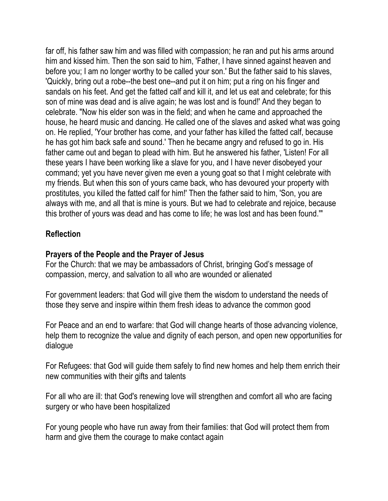far off, his father saw him and was filled with compassion; he ran and put his arms around him and kissed him. Then the son said to him, 'Father, I have sinned against heaven and before you; I am no longer worthy to be called your son.' But the father said to his slaves, 'Quickly, bring out a robe--the best one--and put it on him; put a ring on his finger and sandals on his feet. And get the fatted calf and kill it, and let us eat and celebrate; for this son of mine was dead and is alive again; he was lost and is found!' And they began to celebrate. "Now his elder son was in the field; and when he came and approached the house, he heard music and dancing. He called one of the slaves and asked what was going on. He replied, 'Your brother has come, and your father has killed the fatted calf, because he has got him back safe and sound.' Then he became angry and refused to go in. His father came out and began to plead with him. But he answered his father, 'Listen! For all these years I have been working like a slave for you, and I have never disobeyed your command; yet you have never given me even a young goat so that I might celebrate with my friends. But when this son of yours came back, who has devoured your property with prostitutes, you killed the fatted calf for him!' Then the father said to him, 'Son, you are always with me, and all that is mine is yours. But we had to celebrate and rejoice, because this brother of yours was dead and has come to life; he was lost and has been found.'"

# **Reflection**

# **Prayers of the People and the Prayer of Jesus**

For the Church: that we may be ambassadors of Christ, bringing God's message of compassion, mercy, and salvation to all who are wounded or alienated

For government leaders: that God will give them the wisdom to understand the needs of those they serve and inspire within them fresh ideas to advance the common good

For Peace and an end to warfare: that God will change hearts of those advancing violence, help them to recognize the value and dignity of each person, and open new opportunities for dialogue

For Refugees: that God will guide them safely to find new homes and help them enrich their new communities with their gifts and talents

For all who are ill: that God's renewing love will strengthen and comfort all who are facing surgery or who have been hospitalized

For young people who have run away from their families: that God will protect them from harm and give them the courage to make contact again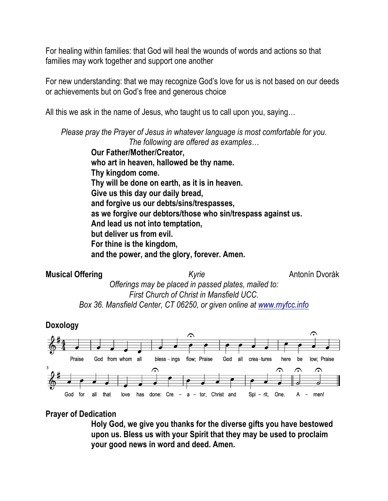For healing within families: that God will heal the wounds of words and actions so that families may work together and support one another

For new understanding: that we may recognize God's love for us is not based on our deeds or achievements but on God's free and generous choice

All this we ask in the name of Jesus, who taught us to call upon you, saying…

*Please pray the Prayer of Jesus in whatever language is most comfortable for you. The following are offered as examples…*

> **Our Father/Mother/Creator, who art in heaven, hallowed be thy name. Thy kingdom come. Thy will be done on earth, as it is in heaven. Give us this day our daily bread, and forgive us our debts/sins/trespasses, as we forgive our debtors/those who sin/trespass against us. And lead us not into temptation, but deliver us from evil. For thine is the kingdom, and the power, and the glory, forever. Amen.**





# **Prayer of Dedication**

**Holy God, we give you thanks for the diverse gifts you have bestowed upon us. Bless us with your Spirit that they may be used to proclaim your good news in word and deed. Amen.**